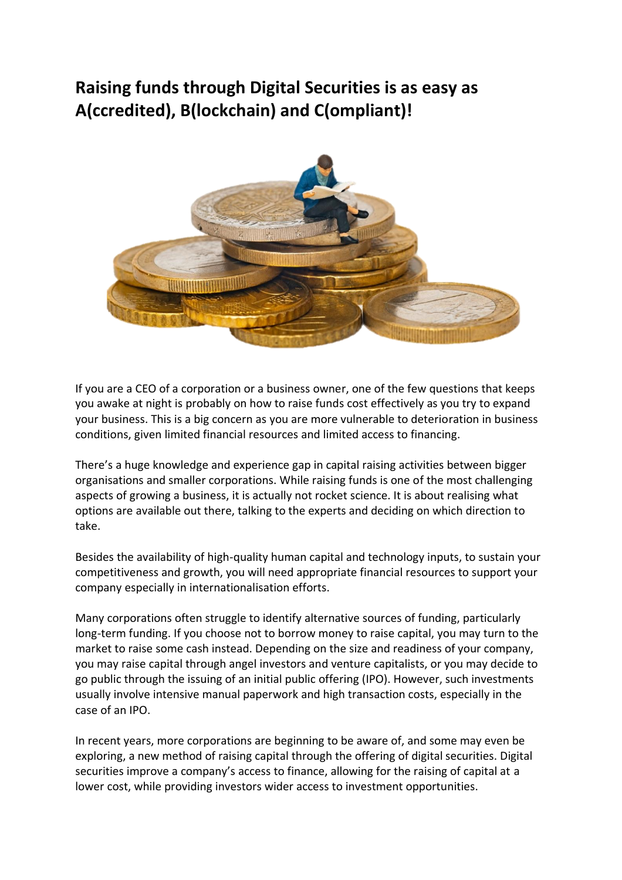# **Raising funds through Digital Securities is as easy as A(ccredited), B(lockchain) and C(ompliant)!**



If you are a CEO of a corporation or a business owner, one of the few questions that keeps you awake at night is probably on how to raise funds cost effectively as you try to expand your business. This is a big concern as you are more vulnerable to deterioration in business conditions, given limited financial resources and limited access to financing.

There's a huge knowledge and experience gap in capital raising activities between bigger organisations and smaller corporations. While raising funds is one of the most challenging aspects of growing a business, it is actually not rocket science. It is about realising what options are available out there, talking to the experts and deciding on which direction to take.

Besides the availability of high-quality human capital and technology inputs, to sustain your competitiveness and growth, you will need appropriate financial resources to support your company especially in internationalisation efforts.

Many corporations often struggle to identify alternative sources of funding, particularly long-term funding. If you choose not to borrow money to raise capital, you may turn to the market to raise some cash instead. Depending on the size and readiness of your company, you may raise capital through angel investors and venture capitalists, or you may decide to go public through the issuing of an initial public offering (IPO). However, such investments usually involve intensive manual paperwork and high transaction costs, especially in the case of an IPO.

In recent years, more corporations are beginning to be aware of, and some may even be exploring, a new method of raising capital through the offering of digital securities. Digital securities improve a company's access to finance, allowing for the raising of capital at a lower cost, while providing investors wider access to investment opportunities.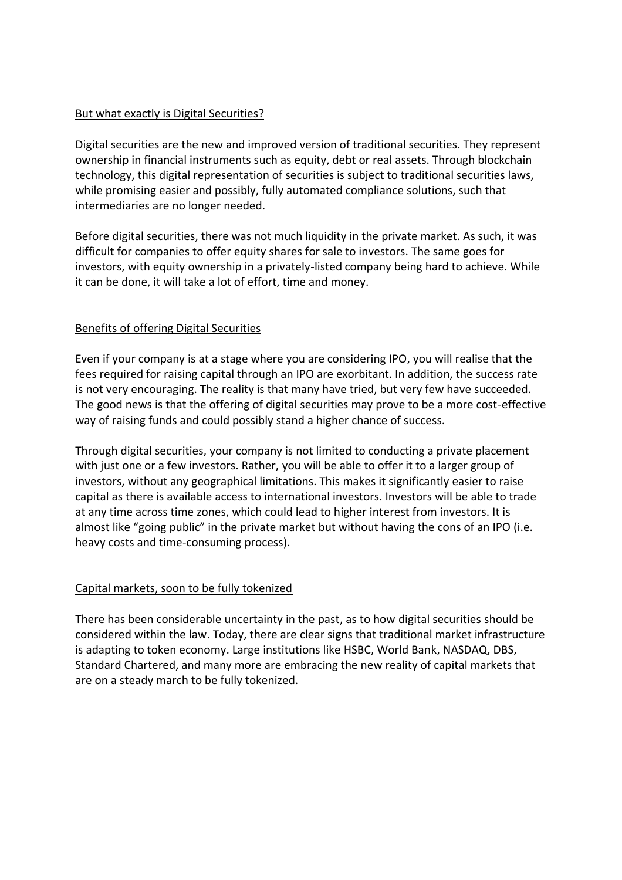## But what exactly is Digital Securities?

Digital securities are the new and improved version of traditional securities. They represent ownership in financial instruments such as equity, debt or real assets. Through blockchain technology, this digital representation of securities is subject to traditional securities laws, while promising easier and possibly, fully automated compliance solutions, such that intermediaries are no longer needed.

Before digital securities, there was not much liquidity in the private market. As such, it was difficult for companies to offer equity shares for sale to investors. The same goes for investors, with equity ownership in a privately-listed company being hard to achieve. While it can be done, it will take a lot of effort, time and money.

## Benefits of offering Digital Securities

Even if your company is at a stage where you are considering IPO, you will realise that the fees required for raising capital through an IPO are exorbitant. In addition, the success rate is not very encouraging. The reality is that many have tried, but very few have succeeded. The good news is that the offering of digital securities may prove to be a more cost-effective way of raising funds and could possibly stand a higher chance of success.

Through digital securities, your company is not limited to conducting a private placement with just one or a few investors. Rather, you will be able to offer it to a larger group of investors, without any geographical limitations. This makes it significantly easier to raise capital as there is available access to international investors. Investors will be able to trade at any time across time zones, which could lead to higher interest from investors. It is almost like "going public" in the private market but without having the cons of an IPO (i.e. heavy costs and time-consuming process).

### Capital markets, soon to be fully tokenized

There has been considerable uncertainty in the past, as to how digital securities should be considered within the law. Today, there are clear signs that traditional market infrastructure is adapting to token economy. Large institutions like HSBC, World Bank, NASDAQ, DBS, Standard Chartered, and many more are embracing the new reality of capital markets that are on a steady march to be fully tokenized.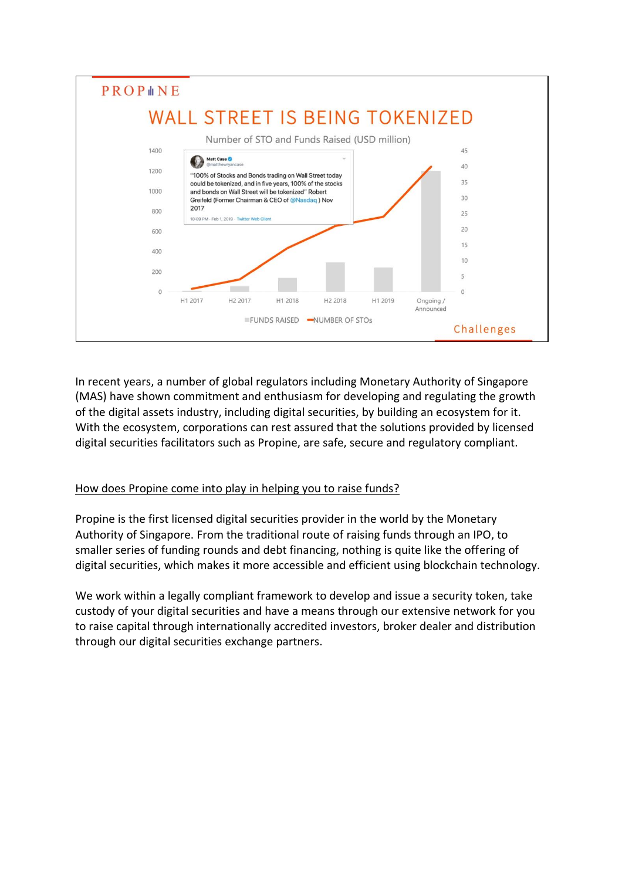

In recent years, a number of global regulators including Monetary Authority of Singapore (MAS) have shown commitment and enthusiasm for developing and regulating the growth of the digital assets industry, including digital securities, by building an ecosystem for it. With the ecosystem, corporations can rest assured that the solutions provided by licensed digital securities facilitators such as Propine, are safe, secure and regulatory compliant.

### How does Propine come into play in helping you to raise funds?

Propine is the first licensed digital securities provider in the world by the Monetary Authority of Singapore. From the traditional route of raising funds through an IPO, to smaller series of funding rounds and debt financing, nothing is quite like the offering of digital securities, which makes it more accessible and efficient using blockchain technology.

We work within a legally compliant framework to develop and issue a security token, take custody of your digital securities and have a means through our extensive network for you to raise capital through internationally accredited investors, broker dealer and distribution through our digital securities exchange partners.